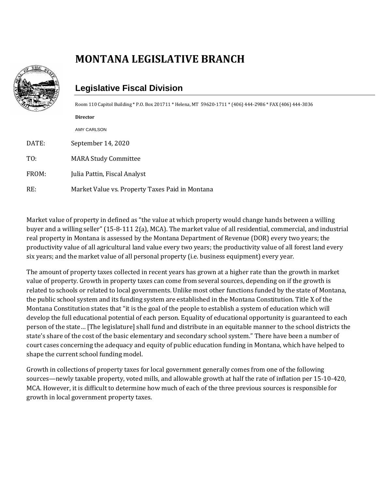## **MONTANA LEGISLATIVE BRANCH**



## **Legislative Fiscal Division**

Room 110 Capitol Building \* P.O. Box 201711 \* Helena, MT 59620-1711 \* (406) 444-2986 \* FAX (406) 444-3036

**Director** AMY CARLSON

DATE: September 14, 2020

TO: MARA Study Committee

FROM: Julia Pattin, Fiscal Analyst

RE: Market Value vs. Property Taxes Paid in Montana

Market value of property in defined as "the value at which property would change hands between a willing buyer and a willing seller" (15-8-111 2(a), MCA). The market value of all residential, commercial, and industrial real property in Montana is assessed by the Montana Department of Revenue (DOR) every two years; the productivity value of all agricultural land value every two years; the productivity value of all forest land every six years; and the market value of all personal property (i.e. business equipment) every year.

The amount of property taxes collected in recent years has grown at a higher rate than the growth in market value of property. Growth in property taxes can come from several sources, depending on if the growth is related to schools or related to local governments. Unlike most other functions funded by the state of Montana, the public school system and its funding system are established in the Montana Constitution. Title X of the Montana Constitution states that "it is the goal of the people to establish a system of education which will develop the full educational potential of each person. Equality of educational opportunity is guaranteed to each person of the state… [The legislature] shall fund and distribute in an equitable manner to the school districts the state's share of the cost of the basic elementary and secondary school system." There have been a number of court cases concerning the adequacy and equity of public education funding in Montana, which have helped to shape the current school funding model.

Growth in collections of property taxes for local government generally comes from one of the following sources—newly taxable property, voted mills, and allowable growth at half the rate of inflation per 15-10-420, MCA. However, it is difficult to determine how much of each of the three previous sources is responsible for growth in local government property taxes.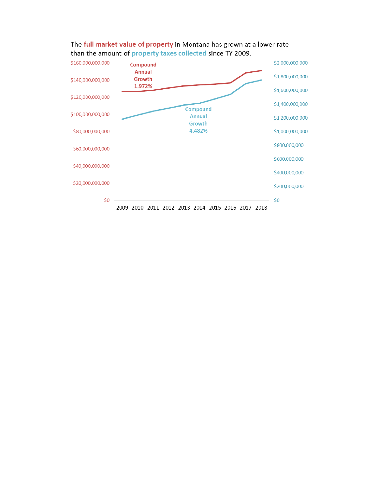

## The full market value of property in Montana has grown at a lower rate than the amount of property taxes collected since TY 2009.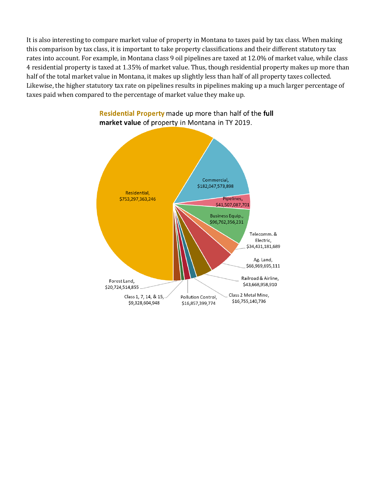It is also interesting to compare market value of property in Montana to taxes paid by tax class. When making this comparison by tax class, it is important to take property classifications and their different statutory tax rates into account. For example, in Montana class 9 oil pipelines are taxed at 12.0% of market value, while class 4 residential property is taxed at 1.35% of market value. Thus, though residential property makes up more than half of the total market value in Montana, it makes up slightly less than half of all property taxes collected. Likewise, the higher statutory tax rate on pipelines results in pipelines making up a much larger percentage of taxes paid when compared to the percentage of market value they make up.



Residential Property made up more than half of the full market value of property in Montana in TY 2019.